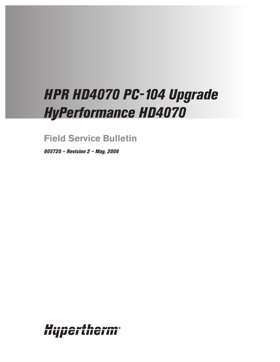# *HPR HD4070 PC-104 Upgrade HyPerformance HD4070*

**Field Service Bulletin**

*805720 – Revision 2 – May, 2008*

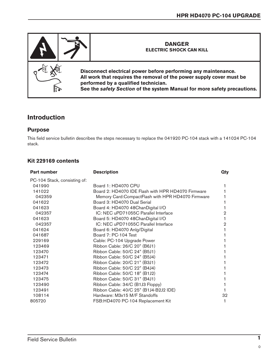

## **Introduction**

#### **Purpose**

This field service bulletin describes the steps necessary to replace the 041920 PC-104 stack with a 141024 PC-104 stack.

### **Kit 229169 contents**

| <b>Part number</b>           | <b>Description</b>                                  | Qty |
|------------------------------|-----------------------------------------------------|-----|
| PC-104 Stack, consisting of: |                                                     |     |
| 041990                       | Board 1: HD4070 CPU                                 |     |
| 141022                       | Board 2: HD4070 IDE Flash with HPR HD4070 Firmware  |     |
| 042359                       | Memory Card: Compact Flash with HPR HD4070 Firmware |     |
| 041622                       | Board 3: HD4070 Dual Serial                         |     |
| 041623                       | Board 4: HD4070 48ChanDigital I/O                   |     |
| 042357                       | IC: NEC uPD71055C Parallel Interface                | 2   |
| 041623                       | Board 5: HD4070 48ChanDigital I/O                   |     |
| 042357                       | IC: NEC uPD71055C Parallel Interface                | 2   |
| 041624                       | Board 6: HD4070 Anlg/Digital                        |     |
| 041687                       | Board 7: PC-104 Test                                |     |
| 229169                       | Cable: PC-104 Upgrade Power                         |     |
| 123469                       | Ribbon Cable: 26/C 20" (B6J1)                       |     |
| 123470                       | Ribbon Cable: 50/C 24" (B5J1)                       |     |
| 123471                       | Ribbon Cable: 50/C 24" (B5J4)                       |     |
| 123472                       | Ribbon Cable: 20/C 21" (B3J1)                       |     |
| 123473                       | Ribbon Cable: 50/C 22" (B4J4)                       |     |
| 123474                       | Ribbon Cable: 50/C 18" (B1J2)                       |     |
| 123475                       | Ribbon Cable: 50/C 31" (B4J1)                       |     |
| 123490                       | Ribbon Cable: 34/C (B1J3 Floppy)                    |     |
| 123491                       | Ribbon Cable: 40/C 25" (B1J4-B2J2 IDE)              |     |
| 108114                       | Hardware: M3x15 M/F Standoffs                       | 32  |
| 805720                       | FSB:HD4070 PC-104 Replacement Kit                   |     |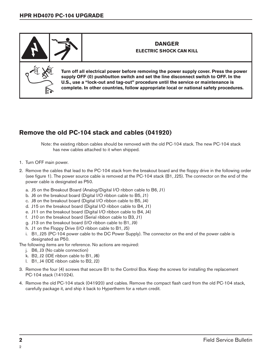

## **Remove the old PC-104 stack and cables (041920)**

Note: the existing ribbon cables should be removed with the old PC-104 stack. The new PC-104 stack has new cables attached to it when shipped.

- 1. Turn OFF main power.
- 2. Remove the cables that lead to the PC-104 stack from the breakout board and the floppy drive in the following order (see figure 1). The power source cable is removed at the PC-104 stack (B1, J25). The connector on the end of the power cable is designated as P50.
	- a. J5 on the Breakout Board (Analog/Digital I/O ribbon cable to B6, J1)
	- b. J6 on the breakout board (Digital I/O ribbon cable to B5, J1)
	- c. J8 on the breakout board (Digital I/O ribbon cable to B5, J4)
	- d. J15 on the breakout board (Digital I/O ribbon cable to B4, J1)
	- e. J11 on the breakout board (Digital I/O ribbon cable to B4, J4)
	- f. J10 on the breakout board (Serial ribbon cable to B3, J1)
	- g. J13 on the breakout board (I/O ribbon cable to B1, J9)
	- h. J1 on the Floppy Drive (I/O ribbon cable to B1, J5)
	- i. B1, J25 (PC-104 power cable to the DC Power Supply). The connector on the end of the power cable is designated as P50.

The following items are for reference. No actions are required:

- j. B6, J3 (No cable connection)
- k. B2, J2 (IDE ribbon cable to B1, J6)
- l. B1, J4 (IDE ribbon cable to B2, J2)
- 3. Remove the four (4) screws that secure B1 to the Control Box. Keep the screws for installing the replacement PC-104 stack (141024).
- 4. Remove the old PC-104 stack (041920) and cables. Remove the compact flash card from the old PC-104 stack, carefully package it, and ship it back to Hypertherm for a return credit.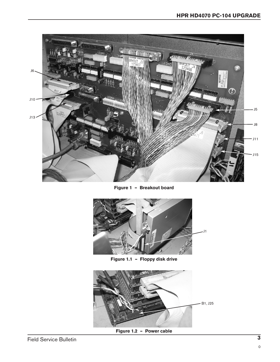

**Figure 1 – Breakout board**



**Figure 1.1 – Floppy disk drive**



**Figure 1.2 – Power cable**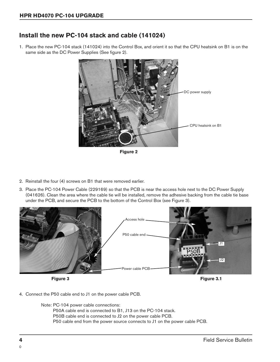## **Install the new PC-104 stack and cable (141024)**

1. Place the new PC-104 stack (141024) into the Control Box, and orient it so that the CPU heatsink on B1 is on the same side as the DC Power Supplies (See figure 2).



**Figure 2**

- 2. Reinstall the four (4) screws on B1 that were removed earlier.
- 3. Place the PC-104 Power Cable (229169) so that the PCB is near the access hole next to the DC Power Supply (041626). Clean the area where the cable tie will be installed, remove the adhesive backing from the cable tie base under the PCB, and secure the PCB to the bottom of the Control Box (see Figure 3).



4. Connect the P50 cable end to J1 on the power cable PCB.

Note: PC-104 power cable connections:

P50A cable end is connected to B1, J13 on the PC-104 stack.

P50B cable end is connected to J2 on the power cable PCB.

P50 cable end from the power source connects to J1 on the power cable PCB.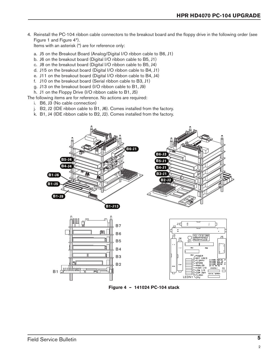4. Reinstall the PC-104 ribbon cable connectors to the breakout board and the floppy drive in the following order (see Figure 1 and Figure 4\*).

Items with an asterisk (\*) are for reference only:

- a. J5 on the Breakout Board (Analog/Digital I/O ribbon cable to B6, J1)
- b. J6 on the breakout board (Digital I/O ribbon cable to B5, J1)
- c. J8 on the breakout board (Digital I/O ribbon cable to B5, J4)
- d. J15 on the breakout board (Digital I/O ribbon cable to B4, J1)
- e. J11 on the breakout board (Digital I/O ribbon cable to B4, J4)
- f. J10 on the breakout board (Serial ribbon cable to B3, J1)
- g. J13 on the breakout board (I/O ribbon cable to B1, J9)
- h. J1 on the Floppy Drive (I/O ribbon cable to B1, J5)

The following items are for reference. No actions are required:

- i. B6, J3 (No cable connection)
- j. B2, J2 (IDE ribbon cable to B1, J6). Comes installed from the factory.
- k. B1, J4 (IDE ribbon cable to B2, J2). Comes installed from the factory.